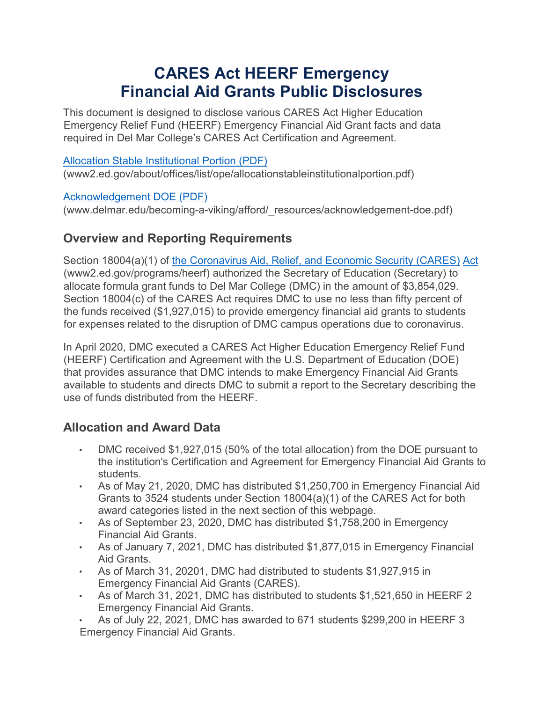# **CARES Act HEERF Emergency Financial Aid Grants Public Disclosures**

This document is designed to disclose various CARES Act Higher Education Emergency Relief Fund (HEERF) Emergency Financial Aid Grant facts and data required in Del Mar College's CARES Act Certification and Agreement.

#### [Allocation Stable Institutional Portion \(PDF\)](https://www2.ed.gov/about/offices/list/ope/allocationstableinstitutionalportion.pdf)

(www2.ed.gov/about/offices/list/ope/allocationstableinstitutionalportion.pdf)

#### [Acknowledgement DOE \(PDF\)](https://www.delmar.edu/becoming-a-viking/afford/_resources/acknowledgement-doe.pdf)

(www.delmar.edu/becoming-a-viking/afford/\_resources/acknowledgement-doe.pdf)

## **Overview and Reporting Requirements**

Section 18004(a)(1) of [the Coronavirus Aid, Relief, and Economic Security \(CARES\)](https://www2.ed.gov/programs/heerf/) [Act](https://www2.ed.gov/programs/heerf/) (www2.ed.gov/programs/heerf) authorized the Secretary of Education (Secretary) to allocate formula grant funds to Del Mar College (DMC) in the amount of \$3,854,029. Section 18004(c) of the CARES Act requires DMC to use no less than fifty percent of the funds received (\$1,927,015) to provide emergency financial aid grants to students for expenses related to the disruption of DMC campus operations due to coronavirus.

In April 2020, DMC executed a CARES Act Higher Education Emergency Relief Fund (HEERF) Certification and Agreement with the U.S. Department of Education (DOE) that provides assurance that DMC intends to make Emergency Financial Aid Grants available to students and directs DMC to submit a report to the Secretary describing the use of funds distributed from the HEERF.

## **Allocation and Award Data**

- DMC received \$1,927,015 (50% of the total allocation) from the DOE pursuant to the institution's Certification and Agreement for Emergency Financial Aid Grants to students.
- As of May 21, 2020, DMC has distributed \$1,250,700 in Emergency Financial Aid Grants to 3524 students under Section 18004(a)(1) of the CARES Act for both award categories listed in the next section of this webpage.
- As of September 23, 2020, DMC has distributed \$1,758,200 in Emergency Financial Aid Grants.
- As of January 7, 2021, DMC has distributed \$1,877,015 in Emergency Financial Aid Grants.
- As of March 31, 20201, DMC had distributed to students \$1,927,915 in Emergency Financial Aid Grants (CARES).
- As of March 31, 2021, DMC has distributed to students \$1,521,650 in HEERF 2 Emergency Financial Aid Grants.
- As of July 22, 2021, DMC has awarded to 671 students \$299,200 in HEERF 3 Emergency Financial Aid Grants.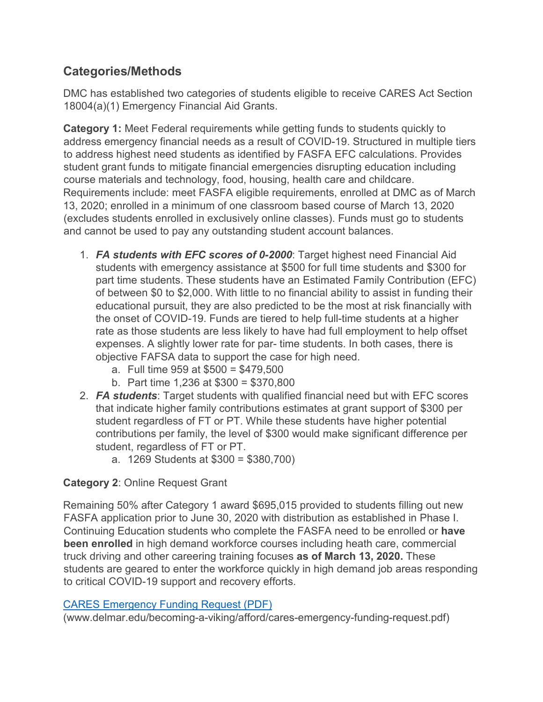## **Categories/Methods**

DMC has established two categories of students eligible to receive CARES Act Section 18004(a)(1) Emergency Financial Aid Grants.

**Category 1:** Meet Federal requirements while getting funds to students quickly to address emergency financial needs as a result of COVID-19. Structured in multiple tiers to address highest need students as identified by FASFA EFC calculations. Provides student grant funds to mitigate financial emergencies disrupting education including course materials and technology, food, housing, health care and childcare. Requirements include: meet FASFA eligible requirements, enrolled at DMC as of March 13, 2020; enrolled in a minimum of one classroom based course of March 13, 2020 (excludes students enrolled in exclusively online classes). Funds must go to students and cannot be used to pay any outstanding student account balances.

- 1. *FA students with EFC scores of 0-2000*: Target highest need Financial Aid students with emergency assistance at \$500 for full time students and \$300 for part time students. These students have an Estimated Family Contribution (EFC) of between \$0 to \$2,000. With little to no financial ability to assist in funding their educational pursuit, they are also predicted to be the most at risk financially with the onset of COVID-19. Funds are tiered to help full-time students at a higher rate as those students are less likely to have had full employment to help offset expenses. A slightly lower rate for par- time students. In both cases, there is objective FAFSA data to support the case for high need.
	- a. Full time 959 at \$500 = \$479,500
	- b. Part time 1,236 at \$300 = \$370,800
- 2. *FA students*: Target students with qualified financial need but with EFC scores that indicate higher family contributions estimates at grant support of \$300 per student regardless of FT or PT. While these students have higher potential contributions per family, the level of \$300 would make significant difference per student, regardless of FT or PT.
	- a. 1269 Students at \$300 = \$380,700)

### **Category 2**: Online Request Grant

Remaining 50% after Category 1 award \$695,015 provided to students filling out new FASFA application prior to June 30, 2020 with distribution as established in Phase I. Continuing Education students who complete the FASFA need to be enrolled or **have been enrolled** in high demand workforce courses including heath care, commercial truck driving and other careering training focuses **as of March 13, 2020.** These students are geared to enter the workforce quickly in high demand job areas responding to critical COVID-19 support and recovery efforts.

#### [CARES Emergency Funding Request \(PDF\)](https://www.delmar.edu/becoming-a-viking/afford/cares-emergency-funding-request.pdf)

(www.delmar.edu/becoming-a-viking/afford/cares-emergency-funding-request.pdf)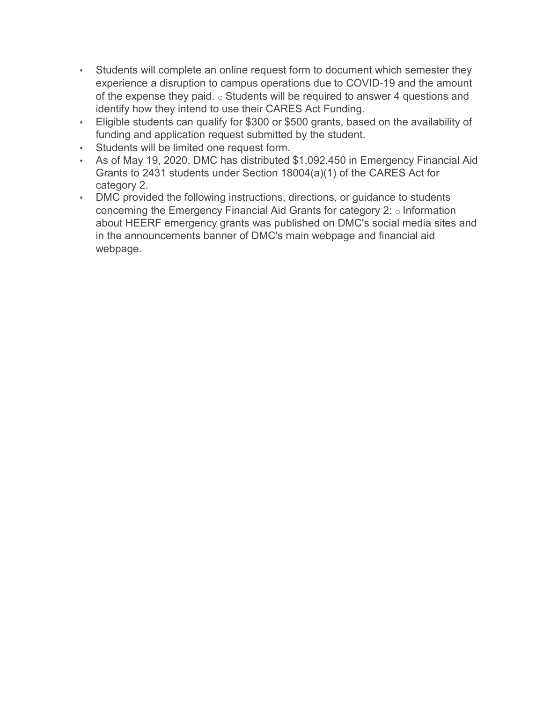- Students will complete an online request form to document which semester they experience a disruption to campus operations due to COVID-19 and the amount of the expense they paid.  $\circ$  Students will be required to answer 4 questions and identify how they intend to use their CARES Act Funding.
- Eligible students can qualify for \$300 or \$500 grants, based on the availability of funding and application request submitted by the student.
- Students will be limited one request form.
- As of May 19, 2020, DMC has distributed \$1,092,450 in Emergency Financial Aid Grants to 2431 students under Section 18004(a)(1) of the CARES Act for category 2.
- DMC provided the following instructions, directions, or guidance to students concerning the Emergency Financial Aid Grants for category 2: o Information about HEERF emergency grants was published on DMC's social media sites and in the announcements banner of DMC's main webpage and financial aid webpage.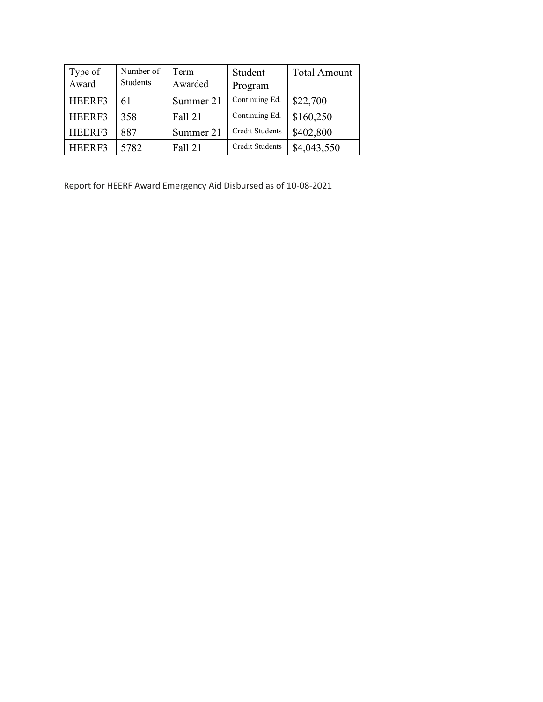| Type of<br>Award | Number of<br><b>Students</b> | Term<br>Awarded | Student<br>Program     | <b>Total Amount</b> |
|------------------|------------------------------|-----------------|------------------------|---------------------|
| HEERF3           | 61                           | Summer 21       | Continuing Ed.         | \$22,700            |
| HEERF3           | 358                          | <b>Fall 21</b>  | Continuing Ed.         | \$160,250           |
| HEERF3           | 887                          | Summer 21       | <b>Credit Students</b> | \$402,800           |
| HEERF3           | 5782                         | <b>Fall 21</b>  | <b>Credit Students</b> | \$4,043,550         |

Report for HEERF Award Emergency Aid Disbursed as of 10-08-2021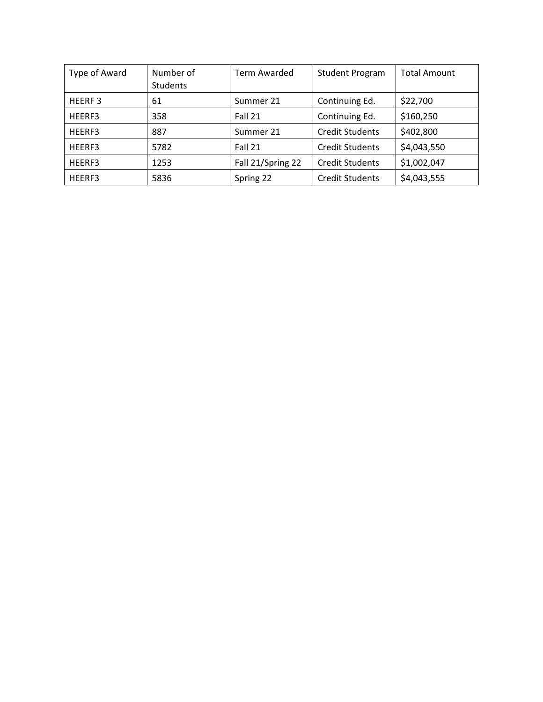| Type of Award      | Number of<br><b>Students</b> | <b>Term Awarded</b> | <b>Student Program</b> | <b>Total Amount</b> |
|--------------------|------------------------------|---------------------|------------------------|---------------------|
| HEERF <sub>3</sub> | 61                           | Summer 21           | Continuing Ed.         | \$22,700            |
| HEERF3             | 358                          | Fall 21             | Continuing Ed.         | \$160,250           |
| HEERF3             | 887                          | Summer 21           | <b>Credit Students</b> | \$402,800           |
| HEERF3             | 5782                         | Fall 21             | <b>Credit Students</b> | \$4,043,550         |
| HEERF3             | 1253                         | Fall 21/Spring 22   | <b>Credit Students</b> | \$1,002,047         |
| HEERF3             | 5836                         | Spring 22           | <b>Credit Students</b> | \$4,043,555         |